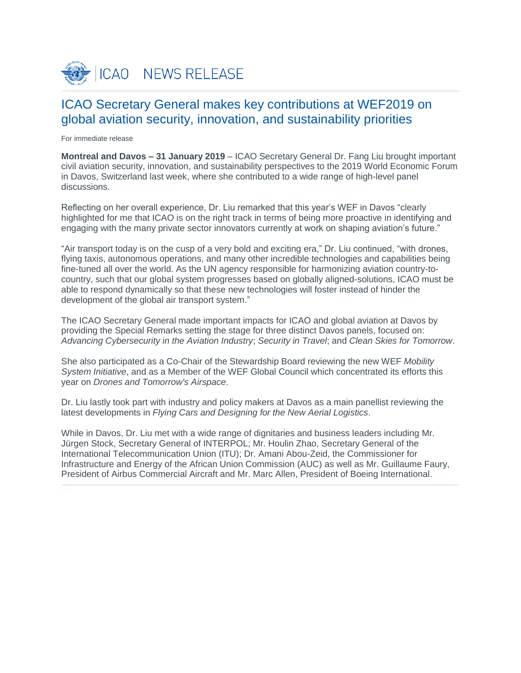

# ICAO Secretary General makes key contributions at WEF2019 on global aviation security, innovation, and sustainability priorities

For immediate release

**Montreal and Davos – 31 January 2019** – ICAO Secretary General Dr. Fang Liu brought important civil aviation security, innovation, and sustainability perspectives to the 2019 World Economic Forum in Davos, Switzerland last week, where she contributed to a wide range of high-level panel discussions.

Reflecting on her overall experience, Dr. Liu remarked that this year's WEF in Davos "clearly highlighted for me that ICAO is on the right track in terms of being more proactive in identifying and engaging with the many private sector innovators currently at work on shaping aviation's future."

"Air transport today is on the cusp of a very bold and exciting era," Dr. Liu continued, "with drones, flying taxis, autonomous operations, and many other incredible technologies and capabilities being fine-tuned all over the world. As the UN agency responsible for harmonizing aviation country-tocountry, such that our global system progresses based on globally aligned-solutions, ICAO must be able to respond dynamically so that these new technologies will foster instead of hinder the development of the global air transport system."

The ICAO Secretary General made important impacts for ICAO and global aviation at Davos by providing the Special Remarks setting the stage for three distinct Davos panels, focused on: *Advancing Cybersecurity in the Aviation Industry*; *Security in Travel*; and *Clean Skies for Tomorrow*.

She also participated as a Co-Chair of the Stewardship Board reviewing the new WEF *Mobility System Initiative*, and as a Member of the WEF Global Council which concentrated its efforts this year on *Drones and Tomorrow's Airspace*.

Dr. Liu lastly took part with industry and policy makers at Davos as a main panellist reviewing the latest developments in *Flying Cars and Designing for the New Aerial Logistics*.

While in Davos, Dr. Liu met with a wide range of dignitaries and business leaders including Mr. Jürgen Stock, Secretary General of INTERPOL; Mr. Houlin Zhao, Secretary General of the International Telecommunication Union (ITU); Dr. Amani Abou-Zeid, the Commissioner for Infrastructure and Energy of the African Union Commission (AUC) as well as Mr. Guillaume Faury, President of Airbus Commercial Aircraft and Mr. Marc Allen, President of Boeing International.